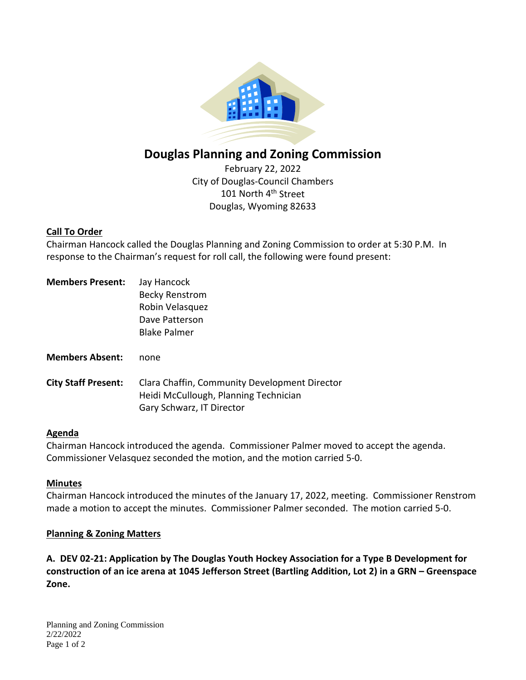

# **Douglas Planning and Zoning Commission**

February 22, 2022 City of Douglas-Council Chambers 101 North 4<sup>th</sup> Street Douglas, Wyoming 82633

## **Call To Order**

Chairman Hancock called the Douglas Planning and Zoning Commission to order at 5:30 P.M. In response to the Chairman's request for roll call, the following were found present:

| <b>Members Present:</b>    | Jay Hancock<br><b>Becky Renstrom</b><br>Robin Velasquez<br>Dave Patterson<br><b>Blake Palmer</b>                    |
|----------------------------|---------------------------------------------------------------------------------------------------------------------|
| <b>Members Absent:</b>     | none                                                                                                                |
| <b>City Staff Present:</b> | Clara Chaffin, Community Development Director<br>Heidi McCullough, Planning Technician<br>Gary Schwarz, IT Director |

## **Agenda**

Chairman Hancock introduced the agenda. Commissioner Palmer moved to accept the agenda. Commissioner Velasquez seconded the motion, and the motion carried 5-0.

## **Minutes**

Chairman Hancock introduced the minutes of the January 17, 2022, meeting. Commissioner Renstrom made a motion to accept the minutes. Commissioner Palmer seconded. The motion carried 5-0.

#### **Planning & Zoning Matters**

**A. DEV 02-21: Application by The Douglas Youth Hockey Association for a Type B Development for construction of an ice arena at 1045 Jefferson Street (Bartling Addition, Lot 2) in a GRN – Greenspace Zone.**